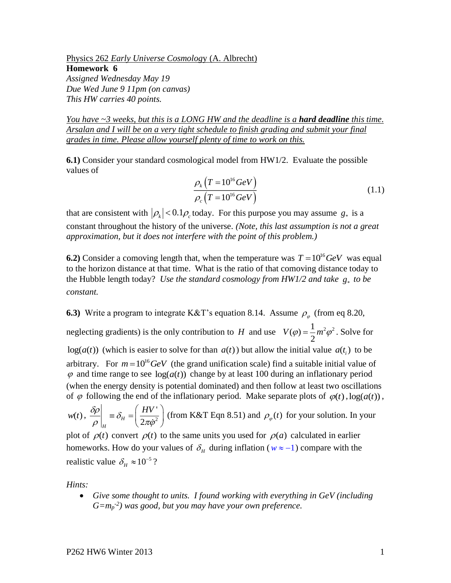Physics 262 *Early Universe Cosmolog*y (A. Albrecht) **Homework 6** *Assigned Wednesday May 19 Due Wed June 9 11pm (on canvas)*

*This HW carries 40 points.*

*You have ~3 weeks, but this is a LONG HW and the deadline is a hard deadline this time. Arsalan and I will be on a very tight schedule to finish grading and submit your final grades in time. Please allow yourself plenty of time to work on this.* 

**6.1)** Consider your standard cosmological model from HW1/2. Evaluate the possible values of

$$
\frac{\rho_k \left( T = 10^{16} \text{GeV} \right)}{\rho_c \left( T = 10^{16} \text{GeV} \right)}\tag{1.1}
$$

that are consistent with  $|\rho_k|$  < 0.1 $\rho_c$  today. For this purpose you may assume  $g_*$  is a constant throughout the history of the universe. *(Note, this last assumption is not a great approximation, but it does not interfere with the point of this problem.)*

**6.2**) Consider a comoving length that, when the temperature was  $T = 10^{16} GeV$  was equal to the horizon distance at that time. What is the ratio of that comoving distance today to the Hubble length today? *Use the standard cosmology from HW1/2 and take*  $g_*$  to be *constant.*

**6.3**) Write a program to integrate K&T's equation 8.14. Assume  $\rho_{\varphi}$  (from eq 8.20,

neglecting gradients) is the only contribution to *H* and use  $V(\varphi) = \frac{1}{2} m^2 \varphi^2$ . Solve for  $log(a(t))$  (which is easier to solve for than  $a(t)$ ) but allow the initial value  $a(t_i)$  to be arbitrary. For  $m = 10^{16} \text{GeV}$  (the grand unification scale) find a suitable initial value of  $\varphi$  and time range to see  $log(a(t))$  change by at least 100 during an inflationary period (when the energy density is potential dominated) and then follow at least two oscillations of  $\varphi$  following the end of the inflationary period. Make separate plots of  $\varphi(t)$ ,  $log(a(t))$ ,

 $w(t)$ ,  $\frac{\partial p}{\partial t}$  =  $\delta_H = \frac{HV}{2\pi\dot{\sigma}^2}$  $J_H = \left(\frac{HV}{2\pi\dot{\varphi}^2}\right)$ *H*  $\frac{\delta \rho}{\rho}$  =  $\delta_{\nu}$  =  $\frac{HV}{\rho}$  $\left[\frac{1}{\rho}\right]_H \equiv o_H = \left(\frac{1}{2\pi\dot{\varphi}^2}\right)$  $\equiv \delta_{H} = \left(\frac{HV'}{2\pi\dot{\varphi}^{2}}\right)$  (from K&T Eqn 8.51) and  $\rho_{\varphi}(t)$  for your solution. In your

plot of  $\rho(t)$  convert  $\rho(t)$  to the same units you used for  $\rho(a)$  calculated in earlier homeworks. How do your values of  $\delta<sub>H</sub>$  during inflation ( $w \approx -1$ ) compare with the realistic value  $\delta_H \approx 10^{-5}$ ?

*Hints:*

• *Give some thought to units. I found working with everything in GeV (including G=m<sup>p</sup> -2 ) was good, but you may have your own preference.*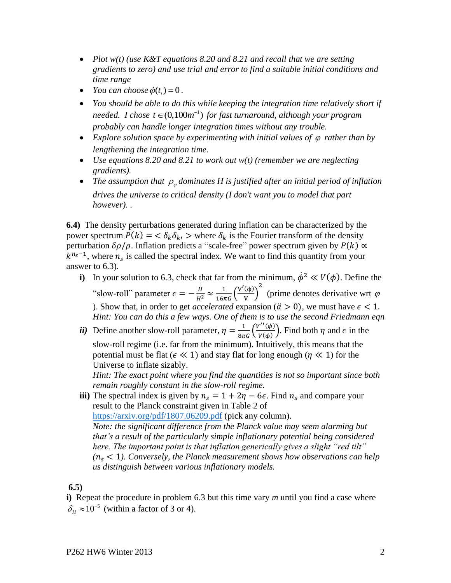- *Plot w(t) (use K&T equations 8.20 and 8.21 and recall that we are setting gradients to zero) and use trial and error to find a suitable initial conditions and time range*
- *You can choose*  $\dot{\varphi}(t_i) = 0$ .
- *You should be able to do this while keeping the integration time relatively short if needed. I chose*  $t \in (0,100m^{-1})$  for fast turnaround, although your program *probably can handle longer integration times without any trouble.*
- *Explore solution space by experimenting with initial values of*  $\varphi$  *rather than by lengthening the integration time.*
- *Use equations 8.20 and 8.21 to work out w(t) (remember we are neglecting gradients).*
- The assumption that  $\rho_{\varphi}$  dominates H is justified after an initial period of inflation *drives the universe to critical density (I don't want you to model that part however). .*

**6.4)** The density perturbations generated during inflation can be characterized by the power spectrum  $P(k) = \langle \delta_k \delta_k \rangle$  > where  $\delta_k$  is the Fourier transform of the density perturbation  $\delta \rho / \rho$ . Inflation predicts a "scale-free" power spectrum given by  $P(k) \propto$  $k^{n_s-1}$ , where  $n_s$  is called the spectral index. We want to find this quantity from your answer to 6.3).

- **i**) In your solution to 6.3, check that far from the minimum,  $\dot{\phi}^2 \ll V(\phi)$ . Define the "slow-roll" parameter  $\epsilon = -\frac{\dot{H}}{H^2} \approx \frac{1}{16\pi G} \left(\frac{V'(\phi)}{V}\right)$  $\frac{\varphi}{\varphi}$ 2 (prime denotes derivative wrt  $\varphi$ ). Show that, in order to get *accelerated* expansion ( $\ddot{a} > 0$ ), we must have  $\epsilon < 1$ . *Hint: You can do this a few ways. One of them is to use the second Friedmann eqn*
- *ii*) Define another slow-roll parameter,  $\eta = \frac{1}{8\pi G} \left( \frac{V''(\phi)}{V(\phi)} \right)$  $(\frac{\varphi}{\psi(\phi)})$ . Find both  $\eta$  and  $\epsilon$  in the slow-roll regime (i.e. far from the minimum). Intuitively, this means that the potential must be flat ( $\epsilon \ll 1$ ) and stay flat for long enough ( $\eta \ll 1$ ) for the Universe to inflate sizably.

*Hint: The exact point where you find the quantities is not so important since both remain roughly constant in the slow-roll regime.* 

**iii**) The spectral index is given by  $n_s = 1 + 2\eta - 6\epsilon$ . Find  $n_s$  and compare your result to the Planck constraint given in Table 2 of <https://arxiv.org/pdf/1807.06209.pdf> (pick any column). *Note: the significant difference from the Planck value may seem alarming but that's a result of the particularly simple inflationary potential being considered here. The important point is that inflation generically gives a slight "red tilt"*   $(n_s < 1)$ . Conversely, the Planck measurement shows how observations can help *us distinguish between various inflationary models.* 

**6.5)** 

**i)** Repeat the procedure in problem 6.3 but this time vary *m* until you find a case where  $\delta_H \approx 10^{-5}$  (within a factor of 3 or 4).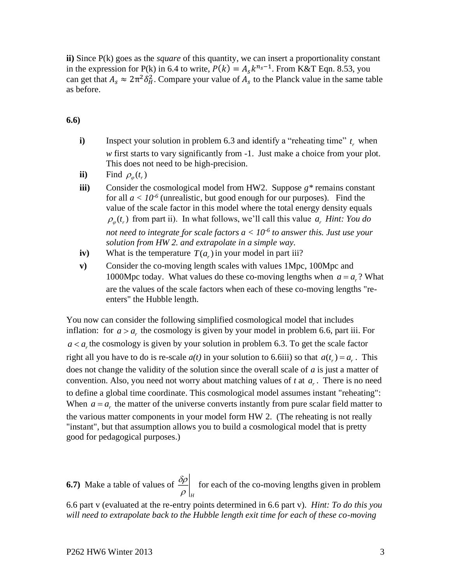**ii)** Since P(k) goes as the *square* of this quantity, we can insert a proportionality constant in the expression for P(k) in 6.4 to write,  $P(k) = A_s k^{n_s - 1}$ . From K&T Eqn. 8.53, you can get that  $A_s \approx 2\pi^2 \delta_H^2$ . Compare your value of  $A_s$  to the Planck value in the same table as before.

**6.6)** 

- **i**) Inspect your solution in problem 6.3 and identify a "reheating time"  $t_r$  when *w* first starts to vary significantly from -1. Just make a choice from your plot. This does not need to be high-precision.
- **ii**) Find  $\rho_{\varphi}(t_r)$
- **iii)** Consider the cosmological model from HW2. Suppose *g\** remains constant for all  $a < 10^{-6}$  (unrealistic, but good enough for our purposes). Find the value of the scale factor in this model where the total energy density equals  $\rho_{\varphi}(t_r)$  from part ii). In what follows, we'll call this value  $a_r$  *Hint: You do not need to integrate for scale factors a < 10-6 to answer this. Just use your solution from HW 2. and extrapolate in a simple way.*
- **iv**) What is the temperature  $T(a_r)$  in your model in part iii?
- **v)** Consider the co-moving length scales with values 1Mpc, 100Mpc and 1000Mpc today. What values do these co-moving lengths when  $a = a_r$ ? What are the values of the scale factors when each of these co-moving lengths "reenters" the Hubble length.

You now can consider the following simplified cosmological model that includes inflation: for  $a > a_r$ , the cosmology is given by your model in problem 6.6, part iii. For  $a < a<sub>r</sub>$  the cosmology is given by your solution in problem 6.3. To get the scale factor right all you have to do is re-scale  $a(t)$  in your solution to 6.6iii) so that  $a(t_r) = a_r$ . This does not change the validity of the solution since the overall scale of *a* is just a matter of convention. Also, you need not worry about matching values of  $t$  at  $a<sub>r</sub>$ . There is no need to define a global time coordinate. This cosmological model assumes instant "reheating": When  $a = a_r$ , the matter of the universe converts instantly from pure scalar field matter to the various matter components in your model form HW 2. (The reheating is not really "instant", but that assumption allows you to build a cosmological model that is pretty good for pedagogical purposes.)

**6.7)** Make a table of values of *H*  $\delta \! \rho$  $\rho$ for each of the co-moving lengths given in problem 6.6 part v (evaluated at the re-entry points determined in 6.6 part v). *Hint: To do this you* 

*will need to extrapolate back to the Hubble length exit time for each of these co-moving*